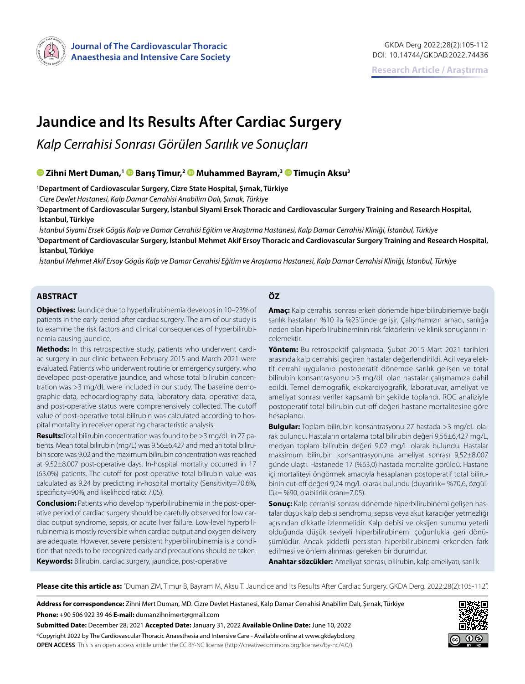

# **Jaundice and Its Results After Cardiac Surgery**

*Kalp Cerrahisi Sonrası Görülen Sarılık ve Sonuçları*

# **Zihni Mert Duman,[1](https://orcid.org/0000-0003-4446-6374) Barış Timur,[2 M](https://orcid.org/0000-0001-6980-3950)uhammed Bayram,[3 T](https://orcid.org/0000-0002-7958-9959)imuçin Aksu3**

**1 Department of Cardiovascular Surgery, Cizre State Hospital, Şırnak, Türkiye**

*Cizre Devlet Hastanesi, Kalp Damar Cerrahisi Anabilim Dalı, Şırnak, Türkiye*

**2 Department of Cardiovascular Surgery, İstanbul Siyami Ersek Thoracic and Cardiovascular Surgery Training and Research Hospital, İstanbul, Türkiye**

*İstanbul Siyami Ersek Gögüs Kalp ve Damar Cerrahisi Eğitim ve Araştırma Hastanesi, Kalp Damar Cerrahisi Kliniği, İstanbul, Türkiye* **3 Department of Cardiovascular Surgery, İstanbul Mehmet Akif Ersoy Thoracic and Cardiovascular Surgery Training and Research Hospital, İstanbul, Türkiye**

*İstanbul Mehmet Akif Ersoy Gögüs Kalp ve Damar Cerrahisi Eğitim ve Araştırma Hastanesi, Kalp Damar Cerrahisi Kliniği, İstanbul, Türkiye*

# **ABSTRACT ÖZ**

**Objectives:** Jaundice due to hyperbilirubinemia develops in 10–23% of patients in the early period after cardiac surgery. The aim of our study is to examine the risk factors and clinical consequences of hyperbilirubinemia causing jaundice.

**Methods:** In this retrospective study, patients who underwent cardiac surgery in our clinic between February 2015 and March 2021 were evaluated. Patients who underwent routine or emergency surgery, who developed post-operative jaundice, and whose total bilirubin concentration was >3 mg/dL were included in our study. The baseline demographic data, echocardiography data, laboratory data, operative data, and post-operative status were comprehensively collected. The cutoff value of post-operative total bilirubin was calculated according to hospital mortality in receiver operating characteristic analysis.

**Results:**Total bilirubin concentration was found to be >3 mg/dL in 27 patients. Mean total bilirubin (mg/L) was 9.56±6.427 and median total bilirubin score was 9.02 and the maximum bilirubin concentration was reached at 9.52±8.007 post-operative days. In-hospital mortality occurred in 17 (63.0%) patients. The cutoff for post-operative total bilirubin value was calculated as 9.24 by predicting in-hospital mortality (Sensitivity=70.6%, specificity=90%, and likelihood ratio: 7.05).

**Conclusion:** Patients who develop hyperbilirubinemia in the post-operative period of cardiac surgery should be carefully observed for low cardiac output syndrome, sepsis, or acute liver failure. Low-level hyperbilirubinemia is mostly reversible when cardiac output and oxygen delivery are adequate. However, severe persistent hyperbilirubinemia is a condition that needs to be recognized early and precautions should be taken. **Keywords:** Bilirubin, cardiac surgery, jaundice, post-operative

**Amaç:** Kalp cerrahisi sonrası erken dönemde hiperbilirubinemiye bağlı sarılık hastaların %10 ila %23'ünde gelişir. Çalışmamızın amacı, sarılığa neden olan hiperbilirubineminin risk faktörlerini ve klinik sonuçlarını incelemektir.

**Yöntem:** Bu retrospektif çalışmada, Şubat 2015-Mart 2021 tarihleri arasında kalp cerrahisi geçiren hastalar değerlendirildi. Acil veya elektif cerrahi uygulanıp postoperatif dönemde sarılık gelişen ve total bilirubin konsantrasyonu >3 mg/dL olan hastalar çalışmamıza dahil edildi. Temel demografik, ekokardiyografik, laboratuvar, ameliyat ve ameliyat sonrası veriler kapsamlı bir şekilde toplandı. ROC analiziyle postoperatif total bilirubin cut-off değeri hastane mortalitesine göre hesaplandı.

**Bulgular:** Toplam bilirubin konsantrasyonu 27 hastada >3 mg/dL olarak bulundu. Hastaların ortalama total bilirubin değeri 9,56±6,427 mg/L, medyan toplam bilirubin değeri 9,02 mg/L olarak bulundu. Hastalar maksimum bilirubin konsantrasyonuna ameliyat sonrası 9,52±8,007 günde ulaştı. Hastanede 17 (%63,0) hastada mortalite görüldü. Hastane içi mortaliteyi öngörmek amacıyla hesaplanan postoperatif total bilirubinin cut-off değeri 9,24 mg/L olarak bulundu (duyarlılık= %70,6, özgüllük= %90, olabilirlik oranı=7,05).

**Sonuç:** Kalp cerrahisi sonrası dönemde hiperbilirubinemi gelişen hastalar düşük kalp debisi sendromu, sepsis veya akut karaciğer yetmezliği açısından dikkatle izlenmelidir. Kalp debisi ve oksijen sunumu yeterli olduğunda düşük seviyeli hiperbilirubinemi çoğunlukla geri dönüşümlüdür. Ancak şiddetli persistan hiperbilirubinemi erkenden fark edilmesi ve önlem alınması gereken bir durumdur.

**Anahtar sözcükler:** Ameliyat sonrası, bilirubin, kalp ameliyatı, sarılık

**Please cite this article as:** "Duman ZM, Timur B, Bayram M, Aksu T. Jaundice and Its Results After Cardiac Surgery. GKDA Derg. 2022;28(2):105-112".

**Address for correspondence:** Zihni Mert Duman, MD. Cizre Devlet Hastanesi, Kalp Damar Cerrahisi Anabilim Dalı, Şırnak, Türkiye **Phone:** +90 506 922 39 46 **E-mail:** dumanzihnimert@gmail.com

**Submitted Date:** December 28, 2021 **Accepted Date:** January 31, 2022 **Available Online Date:** June 10, 2022 ©Copyright 2022 by The Cardiovascular Thoracic Anaesthesia and Intensive Care - Available online at www.gkdaybd.org **OPEN ACCESS** This is an open access article under the CC BY-NC license (http://creativecommons.org/licenses/by-nc/4.0/).

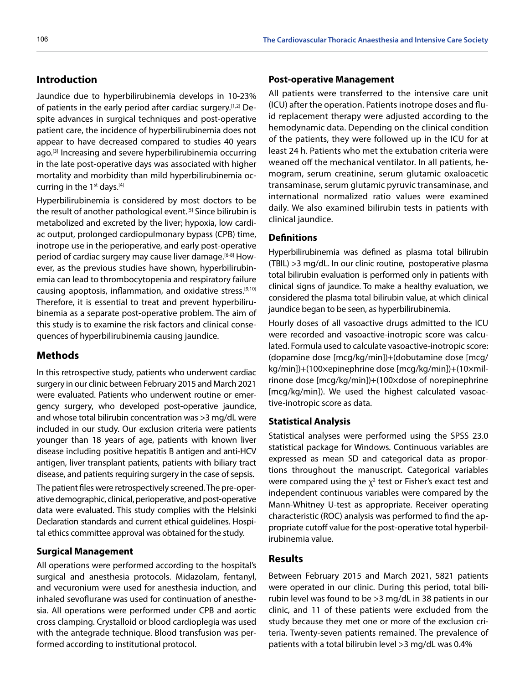# **Introduction**

Jaundice due to hyperbilirubinemia develops in 10-23% of patients in the early period after cardiac surgery.<sup>[1,2]</sup> Despite advances in surgical techniques and post-operative patient care, the incidence of hyperbilirubinemia does not appear to have decreased compared to studies 40 years ago.<sup>[3]</sup> Increasing and severe hyperbilirubinemia occurring in the late post-operative days was associated with higher mortality and morbidity than mild hyperbilirubinemia occurring in the  $1<sup>st</sup>$  days.<sup>[4]</sup>

Hyperbilirubinemia is considered by most doctors to be the result of another pathological event.<sup>[5]</sup> Since bilirubin is metabolized and excreted by the liver; hypoxia, low cardiac output, prolonged cardiopulmonary bypass (CPB) time, inotrope use in the perioperative, and early post-operative period of cardiac surgery may cause liver damage.<sup>[6-8]</sup> However, as the previous studies have shown, hyperbilirubinemia can lead to thrombocytopenia and respiratory failure causing apoptosis, inflammation, and oxidative stress.<sup>[9,10]</sup> Therefore, it is essential to treat and prevent hyperbilirubinemia as a separate post-operative problem. The aim of this study is to examine the risk factors and clinical consequences of hyperbilirubinemia causing jaundice.

### **Methods**

In this retrospective study, patients who underwent cardiac surgery in our clinic between February 2015 and March 2021 were evaluated. Patients who underwent routine or emergency surgery, who developed post-operative jaundice, and whose total bilirubin concentration was >3 mg/dL were included in our study. Our exclusion criteria were patients younger than 18 years of age, patients with known liver disease including positive hepatitis B antigen and anti-HCV antigen, liver transplant patients, patients with biliary tract disease, and patients requiring surgery in the case of sepsis.

The patient files were retrospectively screened. The pre-operative demographic, clinical, perioperative, and post-operative data were evaluated. This study complies with the Helsinki Declaration standards and current ethical guidelines. Hospital ethics committee approval was obtained for the study.

# **Surgical Management**

All operations were performed according to the hospital's surgical and anesthesia protocols. Midazolam, fentanyl, and vecuronium were used for anesthesia induction, and inhaled sevoflurane was used for continuation of anesthesia. All operations were performed under CPB and aortic cross clamping. Crystalloid or blood cardioplegia was used with the antegrade technique. Blood transfusion was performed according to institutional protocol.

#### **Post-operative Management**

All patients were transferred to the intensive care unit (ICU) after the operation. Patients inotrope doses and fluid replacement therapy were adjusted according to the hemodynamic data. Depending on the clinical condition of the patients, they were followed up in the ICU for at least 24 h. Patients who met the extubation criteria were weaned off the mechanical ventilator. In all patients, hemogram, serum creatinine, serum glutamic oxaloacetic transaminase, serum glutamic pyruvic transaminase, and international normalized ratio values were examined daily. We also examined bilirubin tests in patients with clinical jaundice.

#### **Definitions**

Hyperbilirubinemia was defined as plasma total bilirubin (TBIL) >3 mg/dL. In our clinic routine, postoperative plasma total bilirubin evaluation is performed only in patients with clinical signs of jaundice. To make a healthy evaluation, we considered the plasma total bilirubin value, at which clinical jaundice began to be seen, as hyperbilirubinemia.

Hourly doses of all vasoactive drugs admitted to the ICU were recorded and vasoactive-inotropic score was calculated. Formula used to calculate vasoactive-inotropic score: (dopamine dose [mcg/kg/min])+(dobutamine dose [mcg/ kg/min])+(100×epinephrine dose [mcg/kg/min])+(10×milrinone dose [mcg/kg/min])+(100×dose of norepinephrine [mcg/kg/min]). We used the highest calculated vasoactive-inotropic score as data.

#### **Statistical Analysis**

Statistical analyses were performed using the SPSS 23.0 statistical package for Windows. Continuous variables are expressed as mean SD and categorical data as proportions throughout the manuscript. Categorical variables were compared using the  $\chi^2$  test or Fisher's exact test and independent continuous variables were compared by the Mann-Whitney U-test as appropriate. Receiver operating characteristic (ROC) analysis was performed to find the appropriate cutoff value for the post-operative total hyperbilirubinemia value.

# **Results**

Between February 2015 and March 2021, 5821 patients were operated in our clinic. During this period, total bilirubin level was found to be >3 mg/dL in 38 patients in our clinic, and 11 of these patients were excluded from the study because they met one or more of the exclusion criteria. Twenty-seven patients remained. The prevalence of patients with a total bilirubin level >3 mg/dL was 0.4%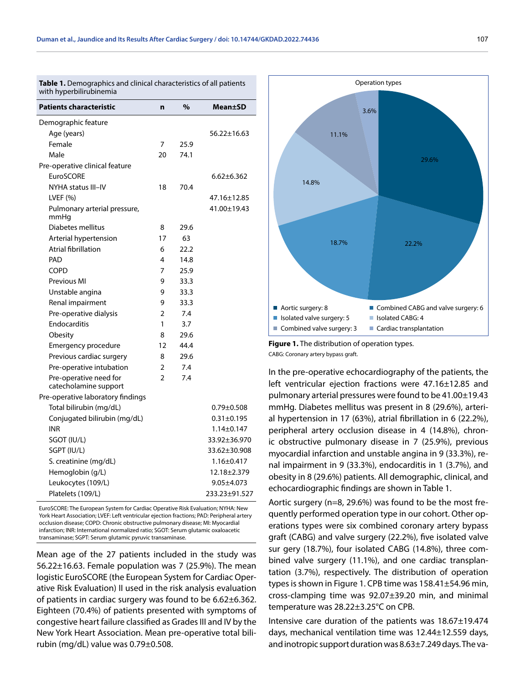**Table 1.** Demographics and clinical characteristics of all patients with hyperbilirubinemia

| <b>Patients characteristic</b>                  | n              | %    | Mean±SD          |
|-------------------------------------------------|----------------|------|------------------|
| Demographic feature                             |                |      |                  |
| Age (years)                                     |                |      | 56.22±16.63      |
| Female                                          | 7              | 25.9 |                  |
| Male                                            | 20             | 74.1 |                  |
| Pre-operative clinical feature                  |                |      |                  |
| <b>EuroSCORE</b>                                |                |      | $6.62 \pm 6.362$ |
| NYHA status III-IV                              | 18             | 70.4 |                  |
| LVEF $(% )$                                     |                |      | 47.16±12.85      |
| Pulmonary arterial pressure,<br>mmHq            |                |      | 41.00±19.43      |
| Diabetes mellitus                               | 8              | 29.6 |                  |
| Arterial hypertension                           | 17             | 63   |                  |
| Atrial fibrillation                             | 6              | 22.2 |                  |
| PAD                                             | 4              | 14.8 |                  |
| <b>COPD</b>                                     | 7              | 25.9 |                  |
| Previous MI                                     | 9              | 33.3 |                  |
| Unstable angina                                 | 9              | 33.3 |                  |
| Renal impairment                                | 9              | 33.3 |                  |
| Pre-operative dialysis                          | 2              | 7.4  |                  |
| Endocarditis                                    | 1              | 3.7  |                  |
| Obesity                                         | 8              | 29.6 |                  |
| Emergency procedure                             | 12             | 44.4 |                  |
| Previous cardiac surgery                        | 8              | 29.6 |                  |
| Pre-operative intubation                        | 2              | 7.4  |                  |
| Pre-operative need for<br>catecholamine support | $\overline{2}$ | 7.4  |                  |
| Pre-operative laboratory findings               |                |      |                  |
| Total bilirubin (mg/dL)                         |                |      | $0.79 \pm 0.508$ |
| Conjugated bilirubin (mg/dL)                    |                |      | $0.31 \pm 0.195$ |
| <b>INR</b>                                      |                |      | $1.14 \pm 0.147$ |
| SGOT (IU/L)                                     |                |      | 33.92±36.970     |
| SGPT (IU/L)                                     |                |      | 33.62±30.908     |
| S. creatinine (mg/dL)                           |                |      | $1.16 \pm 0.417$ |
| Hemoglobin (g/L)                                |                |      | 12.18±2.379      |
| Leukocytes (109/L)                              |                |      | $9.05 \pm 4.073$ |
| Platelets (109/L)                               |                |      | 233.23±91.527    |

EuroSCORE: The European System for Cardiac Operative Risk Evaluation; NYHA: New York Heart Association; LVEF: Left ventricular ejection fractions; PAD: Peripheral artery occlusion disease; COPD: Chronic obstructive pulmonary disease; MI: Myocardial infarction; INR: International normalized ratio; SGOT: Serum glutamic oxaloacetic transaminase; SGPT: Serum glutamic pyruvic transaminase.

Mean age of the 27 patients included in the study was 56.22 $\pm$ 16.63. Female population was 7 (25.9%). The mean logistic EuroSCORE (the European System for Cardiac Operative Risk Evaluation) II used in the risk analysis evaluation of patients in cardiac surgery was found to be 6.62±6.362. Eighteen (70.4%) of patients presented with symptoms of congestive heart failure classified as Grades III and IV by the New York Heart Association. Mean pre-operative total bilirubin (mg/dL) value was  $0.79\pm0.508$ .



**Figure 1.** The distribution of operation types. CABG: Coronary artery bypass graft.

In the pre-operative echocardiography of the patients, the left ventricular ejection fractions were 47.16±12.85 and pulmonary arterial pressures were found to be 41.00±19.43 mmHg. Diabetes mellitus was present in 8 (29.6%), arterial hypertension in 17 (63%), atrial fibrillation in 6 (22.2%), peripheral artery occlusion disease in 4 (14.8%), chronic obstructive pulmonary disease in 7 (25.9%), previous myocardial infarction and unstable angina in 9 (33.3%), renal impairment in 9 (33.3%), endocarditis in 1 (3.7%), and obesity in 8 (29.6%) patients. All demographic, clinical, and echocardiographic findings are shown in Table 1.

Aortic surgery (n=8, 29.6%) was found to be the most frequently performed operation type in our cohort. Other operations types were six combined coronary artery bypass graft (CABG) and valve surgery (22.2%), five isolated valve sur gery (18.7%), four isolated CABG (14.8%), three combined valve surgery (11.1%), and one cardiac transplantation (3.7%), respectively. The distribution of operation types is shown in Figure 1. CPB time was 158.41±54.96 min, cross-clamping time was 92.07±39.20 min, and minimal temperature was 28.22±3.25°C on CPB.

Intensive care duration of the patients was 18.67±19.474 days, mechanical ventilation time was 12.44±12.559 days, and inotropic support duration was 8.63±7.249 days. The va-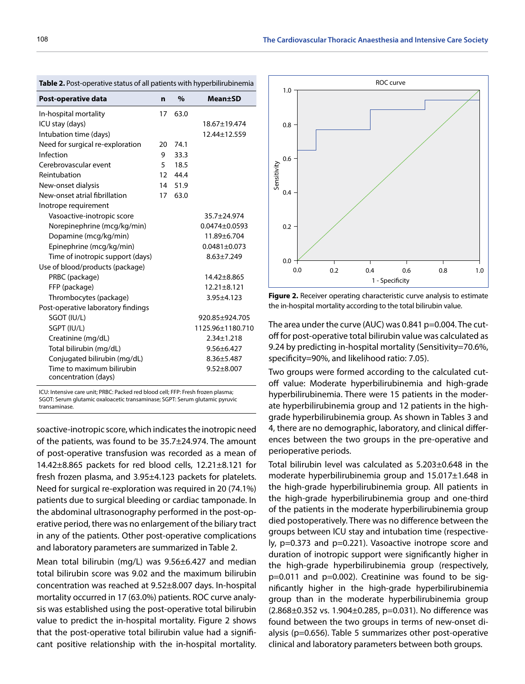| Post-operative data                               | n  | $\%$    | <b>Mean</b> ±SD    |
|---------------------------------------------------|----|---------|--------------------|
| In-hospital mortality                             | 17 | 63.0    |                    |
| ICU stay (days)                                   |    |         | 18.67±19.474       |
| Intubation time (days)                            |    |         | 12.44±12.559       |
| Need for surgical re-exploration                  | 20 | 74.1    |                    |
| Infection                                         | 9  | 33.3    |                    |
| Cerebrovascular event                             | 5  | 18.5    |                    |
| Reintubation                                      |    | 12 44.4 |                    |
| New-onset dialysis                                |    | 14 51.9 |                    |
| New-onset atrial fibrillation                     | 17 | 63.0    |                    |
| Inotrope requirement                              |    |         |                    |
| Vasoactive-inotropic score                        |    |         | 35.7±24.974        |
| Norepinephrine (mcg/kg/min)                       |    |         | $0.0474 + 0.0593$  |
| Dopamine (mcg/kg/min)                             |    |         | 11.89±6.704        |
| Epinephrine (mcg/kg/min)                          |    |         | $0.0481 \pm 0.073$ |
| Time of inotropic support (days)                  |    |         | $8.63 \pm 7.249$   |
| Use of blood/products (package)                   |    |         |                    |
| PRBC (package)                                    |    |         | $14.42 + 8.865$    |
| FFP (package)                                     |    |         | $12.21 \pm 8.121$  |
| Thrombocytes (package)                            |    |         | $3.95 \pm 4.123$   |
| Post-operative laboratory findings                |    |         |                    |
| SGOT (IU/L)                                       |    |         | 920.85±924.705     |
| SGPT (IU/L)                                       |    |         | 1125.96±1180.710   |
| Creatinine (mg/dL)                                |    |         | $2.34 \pm 1.218$   |
| Total bilirubin (mg/dL)                           |    |         | $9.56 \pm 6.427$   |
| Conjugated bilirubin (mg/dL)                      |    |         | $8.36 \pm 5.487$   |
| Time to maximum bilirubin<br>concentration (days) |    |         | $9.52 \pm 8.007$   |
|                                                   |    |         |                    |

**Table 2.** Post-operative status of all patients with hyperbilirubinemia

ICU: Intensive care unit; PRBC: Packed red blood cell; FFP: Fresh frozen plasma; SGOT: Serum glutamic oxaloacetic transaminase; SGPT: Serum glutamic pyruvic transaminase.

soactive-inotropic score, which indicates the inotropic need of the patients, was found to be 35.7±24.974. The amount of post-operative transfusion was recorded as a mean of 14.42±8.865 packets for red blood cells, 12.21±8.121 for fresh frozen plasma, and 3.95±4.123 packets for platelets. Need for surgical re-exploration was required in 20 (74.1%) patients due to surgical bleeding or cardiac tamponade. In the abdominal ultrasonography performed in the post-operative period, there was no enlargement of the biliary tract in any of the patients. Other post-operative complications and laboratory parameters are summarized in Table 2.

Mean total bilirubin (mg/L) was 9.56±6.427 and median total bilirubin score was 9.02 and the maximum bilirubin concentration was reached at 9.52±8.007 days. In-hospital mortality occurred in 17 (63.0%) patients. ROC curve analysis was established using the post-operative total bilirubin value to predict the in-hospital mortality. Figure 2 shows that the post-operative total bilirubin value had a significant positive relationship with the in-hospital mortality.



**Figure 2.** Receiver operating characteristic curve analysis to estimate the in-hospital mortality according to the total bilirubin value.

The area under the curve (AUC) was 0.841 p=0.004. The cutoff for post-operative total bilirubin value was calculated as 9.24 by predicting in-hospital mortality (Sensitivity=70.6%, specificity=90%, and likelihood ratio: 7.05).

Two groups were formed according to the calculated cutoff value: Moderate hyperbilirubinemia and high-grade hyperbilirubinemia. There were 15 patients in the moderate hyperbilirubinemia group and 12 patients in the highgrade hyperbilirubinemia group. As shown in Tables 3 and 4, there are no demographic, laboratory, and clinical differences between the two groups in the pre-operative and perioperative periods.

Total bilirubin level was calculated as 5.203±0.648 in the moderate hyperbilirubinemia group and 15.017±1.648 in the high-grade hyperbilirubinemia group. All patients in the high-grade hyperbilirubinemia group and one-third of the patients in the moderate hyperbilirubinemia group died postoperatively. There was no difference between the groups between ICU stay and intubation time (respectively, p=0.373 and p=0.221). Vasoactive inotrope score and duration of inotropic support were significantly higher in the high-grade hyperbilirubinemia group (respectively, p=0.011 and p=0.002). Creatinine was found to be significantly higher in the high-grade hyperbilirubinemia group than in the moderate hyperbilirubinemia group (2.868±0.352 vs. 1.904±0.285, p=0.031). No difference was found between the two groups in terms of new-onset dialysis (p=0.656). Table 5 summarizes other post-operative clinical and laboratory parameters between both groups.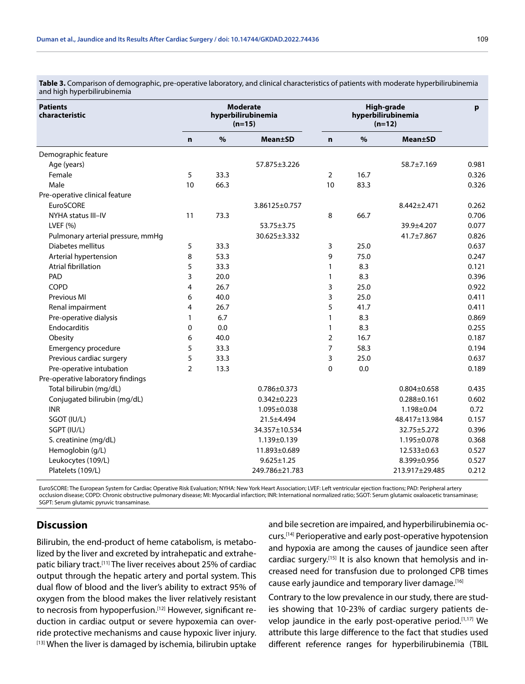**Table 3.** Comparison of demographic, pre-operative laboratory, and clinical characteristics of patients with moderate hyperbilirubinemia and high hyperbilirubinemia

| <b>Patients</b><br>characteristic | <b>Moderate</b><br>hyperbilirubinemia<br>$(n=15)$ |               |                   | High-grade<br>hyperbilirubinemia<br>$(n=12)$ |      |                   | p     |
|-----------------------------------|---------------------------------------------------|---------------|-------------------|----------------------------------------------|------|-------------------|-------|
|                                   | $\mathbf n$                                       | $\frac{9}{6}$ | <b>Mean±SD</b>    | $\mathbf n$                                  | $\%$ | <b>Mean±SD</b>    |       |
| Demographic feature               |                                                   |               |                   |                                              |      |                   |       |
| Age (years)                       |                                                   |               | 57.875±3.226      |                                              |      | 58.7±7.169        | 0.981 |
| Female                            | 5                                                 | 33.3          |                   | $\overline{2}$                               | 16.7 |                   | 0.326 |
| Male                              | 10                                                | 66.3          |                   | 10                                           | 83.3 |                   | 0.326 |
| Pre-operative clinical feature    |                                                   |               |                   |                                              |      |                   |       |
| <b>EuroSCORE</b>                  |                                                   |               | 3.86125±0.757     |                                              |      | 8.442±2.471       | 0.262 |
| NYHA status III-IV                | 11                                                | 73.3          |                   | 8                                            | 66.7 |                   | 0.706 |
| LVEF $(% )$                       |                                                   |               | 53.75±3.75        |                                              |      | 39.9±4.207        | 0.077 |
| Pulmonary arterial pressure, mmHg |                                                   |               | 30.625±3.332      |                                              |      | 41.7±7.867        | 0.826 |
| Diabetes mellitus                 | 5                                                 | 33.3          |                   | 3                                            | 25.0 |                   | 0.637 |
| Arterial hypertension             | 8                                                 | 53.3          |                   | 9                                            | 75.0 |                   | 0.247 |
| <b>Atrial fibrillation</b>        | 5                                                 | 33.3          |                   | 1                                            | 8.3  |                   | 0.121 |
| PAD                               | 3                                                 | 20.0          |                   | $\mathbf{1}$                                 | 8.3  |                   | 0.396 |
| <b>COPD</b>                       | 4                                                 | 26.7          |                   | 3                                            | 25.0 |                   | 0.922 |
| Previous MI                       | 6                                                 | 40.0          |                   | 3                                            | 25.0 |                   | 0.411 |
| Renal impairment                  | 4                                                 | 26.7          |                   | 5                                            | 41.7 |                   | 0.411 |
| Pre-operative dialysis            | 1                                                 | 6.7           |                   | $\mathbf{1}$                                 | 8.3  |                   | 0.869 |
| Endocarditis                      | 0                                                 | 0.0           |                   | 1                                            | 8.3  |                   | 0.255 |
| Obesity                           | 6                                                 | 40.0          |                   | $\overline{2}$                               | 16.7 |                   | 0.187 |
| Emergency procedure               | 5                                                 | 33.3          |                   | 7                                            | 58.3 |                   | 0.194 |
| Previous cardiac surgery          | 5                                                 | 33.3          |                   | 3                                            | 25.0 |                   | 0.637 |
| Pre-operative intubation          | $\overline{2}$                                    | 13.3          |                   | $\mathbf 0$                                  | 0.0  |                   | 0.189 |
| Pre-operative laboratory findings |                                                   |               |                   |                                              |      |                   |       |
| Total bilirubin (mg/dL)           |                                                   |               | $0.786 \pm 0.373$ |                                              |      | $0.804 \pm 0.658$ | 0.435 |
| Conjugated bilirubin (mg/dL)      |                                                   |               | $0.342 \pm 0.223$ |                                              |      | $0.288 \pm 0.161$ | 0.602 |
| <b>INR</b>                        |                                                   |               | 1.095±0.038       |                                              |      | 1.198±0.04        | 0.72  |
| SGOT (IU/L)                       |                                                   |               | 21.5±4.494        |                                              |      | 48.417±13.984     | 0.157 |
| SGPT (IU/L)                       |                                                   |               | 34.357±10.534     |                                              |      | 32.75±5.272       | 0.396 |
| S. creatinine (mg/dL)             |                                                   |               | 1.139±0.139       |                                              |      | 1.195±0.078       | 0.368 |
| Hemoglobin (g/L)                  |                                                   |               | 11.893±0.689      |                                              |      | 12.533±0.63       | 0.527 |
| Leukocytes (109/L)                |                                                   |               | $9.625 \pm 1.25$  |                                              |      | 8.399±0.956       | 0.527 |
| Platelets (109/L)                 |                                                   |               | 249.786±21.783    |                                              |      | 213.917±29.485    | 0.212 |

EuroSCORE: The European System for Cardiac Operative Risk Evaluation; NYHA: New York Heart Association; LVEF: Left ventricular ejection fractions; PAD: Peripheral artery occlusion disease; COPD: Chronic obstructive pulmonary disease; MI: Myocardial infarction; INR: International normalized ratio; SGOT: Serum glutamic oxaloacetic transaminase; SGPT: Serum glutamic pyruvic transaminase.

# **Discussion**

Bilirubin, the end-product of heme catabolism, is metabolized by the liver and excreted by intrahepatic and extrahepatic biliary tract.<sup>[11]</sup> The liver receives about 25% of cardiac output through the hepatic artery and portal system. This dual flow of blood and the liver's ability to extract 95% of oxygen from the blood makes the liver relatively resistant to necrosis from hypoperfusion.<sup>[12]</sup> However, significant reduction in cardiac output or severe hypoxemia can override protective mechanisms and cause hypoxic liver injury. [13] When the liver is damaged by ischemia, bilirubin uptake and bile secretion are impaired, and hyperbilirubinemia occurs.[14] Perioperative and early post-operative hypotension and hypoxia are among the causes of jaundice seen after cardiac surgery.[15] It is also known that hemolysis and increased need for transfusion due to prolonged CPB times cause early jaundice and temporary liver damage.[16]

Contrary to the low prevalence in our study, there are studies showing that 10-23% of cardiac surgery patients develop jaundice in the early post-operative period.<sup>[1,17]</sup> We attribute this large difference to the fact that studies used different reference ranges for hyperbilirubinemia (TBIL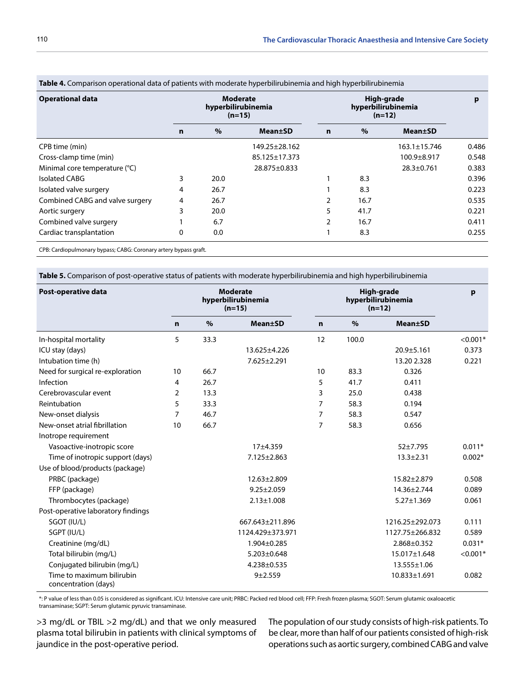| <b>Operational data</b>         | <b>Moderate</b><br>hyperbilirubinemia<br>$(n=15)$ |      |                 | High-grade<br>hyperbilirubinemia<br>$(n=12)$ |      |                  | p     |
|---------------------------------|---------------------------------------------------|------|-----------------|----------------------------------------------|------|------------------|-------|
|                                 | n                                                 | $\%$ | <b>Mean</b> ±SD | $\mathbf n$                                  | $\%$ | <b>Mean</b> ±SD  |       |
| CPB time (min)                  |                                                   |      | 149.25±28.162   |                                              |      | 163.1±15.746     | 0.486 |
| Cross-clamp time (min)          |                                                   |      | 85.125±17.373   |                                              |      | 100.9±8.917      | 0.548 |
| Minimal core temperature (°C)   |                                                   |      | 28.875±0.833    |                                              |      | $28.3 \pm 0.761$ | 0.383 |
| <b>Isolated CABG</b>            | 3                                                 | 20.0 |                 |                                              | 8.3  |                  | 0.396 |
| Isolated valve surgery          | 4                                                 | 26.7 |                 |                                              | 8.3  |                  | 0.223 |
| Combined CABG and valve surgery | 4                                                 | 26.7 |                 | $\overline{2}$                               | 16.7 |                  | 0.535 |
| Aortic surgery                  | 3                                                 | 20.0 |                 | 5                                            | 41.7 |                  | 0.221 |
| Combined valve surgery          |                                                   | 6.7  |                 | 2                                            | 16.7 |                  | 0.411 |
| Cardiac transplantation         | $\mathbf{0}$                                      | 0.0  |                 |                                              | 8.3  |                  | 0.255 |

**Table 4.** Comparison operational data of patients with moderate hyperbilirubinemia and high hyperbilirubinemia

CPB: Cardiopulmonary bypass; CABG: Coronary artery bypass graft.

**Table 5.** Comparison of post-operative status of patients with moderate hyperbilirubinemia and high hyperbilirubinemia

| Post-operative data                               | <b>Moderate</b><br>hyperbilirubinemia<br>$(n=15)$ |               |                   | High-grade<br>hyperbilirubinemia<br>$(n=12)$ |       |                  | $\mathbf{p}$ |
|---------------------------------------------------|---------------------------------------------------|---------------|-------------------|----------------------------------------------|-------|------------------|--------------|
|                                                   | $\mathbf n$                                       | $\frac{9}{6}$ | <b>Mean</b> ±SD   | $\mathbf n$                                  | $\%$  | <b>Mean</b> ±SD  |              |
| In-hospital mortality                             | 5                                                 | 33.3          |                   | 12                                           | 100.0 |                  | $< 0.001*$   |
| ICU stay (days)                                   |                                                   |               | 13.625±4.226      |                                              |       | $20.9 + 5.161$   | 0.373        |
| Intubation time (h)                               |                                                   |               | 7.625±2.291       |                                              |       | 13.20 2.328      | 0.221        |
| Need for surgical re-exploration                  | 10                                                | 66.7          |                   | 10                                           | 83.3  | 0.326            |              |
| Infection                                         | 4                                                 | 26.7          |                   | 5                                            | 41.7  | 0.411            |              |
| Cerebrovascular event                             | $\overline{2}$                                    | 13.3          |                   | 3                                            | 25.0  | 0.438            |              |
| Reintubation                                      | 5                                                 | 33.3          |                   | $\overline{7}$                               | 58.3  | 0.194            |              |
| New-onset dialysis                                | 7                                                 | 46.7          |                   | 7                                            | 58.3  | 0.547            |              |
| New-onset atrial fibrillation                     | 10                                                | 66.7          |                   | 7                                            | 58.3  | 0.656            |              |
| Inotrope requirement                              |                                                   |               |                   |                                              |       |                  |              |
| Vasoactive-inotropic score                        |                                                   |               | 17±4.359          |                                              |       | 52±7.795         | $0.011*$     |
| Time of inotropic support (days)                  |                                                   |               | $7.125 \pm 2.863$ |                                              |       | $13.3 \pm 2.31$  | $0.002*$     |
| Use of blood/products (package)                   |                                                   |               |                   |                                              |       |                  |              |
| PRBC (package)                                    |                                                   |               | 12.63±2.809       |                                              |       | 15.82±2.879      | 0.508        |
| FFP (package)                                     |                                                   |               | $9.25 \pm 2.059$  |                                              |       | 14.36±2.744      | 0.089        |
| Thrombocytes (package)                            |                                                   |               | $2.13 \pm 1.008$  |                                              |       | $5.27 \pm 1.369$ | 0.061        |
| Post-operative laboratory findings                |                                                   |               |                   |                                              |       |                  |              |
| SGOT (IU/L)                                       |                                                   |               | 667.643±211.896   |                                              |       | 1216.25±292.073  | 0.111        |
| SGPT (IU/L)                                       |                                                   |               | 1124.429±373.971  |                                              |       | 1127.75±266.832  | 0.589        |
| Creatinine (mg/dL)                                |                                                   |               | 1.904±0.285       |                                              |       | 2.868±0.352      | $0.031*$     |
| Total bilirubin (mg/L)                            |                                                   |               | $5.203 \pm 0.648$ |                                              |       | 15.017±1.648     | $< 0.001*$   |
| Conjugated bilirubin (mg/L)                       |                                                   |               | 4.238±0.535       |                                              |       | 13.555±1.06      |              |
| Time to maximum bilirubin<br>concentration (days) |                                                   |               | $9 + 2.559$       |                                              |       | 10.833±1.691     | 0.082        |

\*: P value of less than 0.05 is considered as significant. ICU: Intensive care unit; PRBC: Packed red blood cell; FFP: Fresh frozen plasma; SGOT: Serum glutamic oxaloacetic transaminase; SGPT: Serum glutamic pyruvic transaminase.

>3 mg/dL or TBIL >2 mg/dL) and that we only measured plasma total bilirubin in patients with clinical symptoms of jaundice in the post-operative period.

The population of our study consists of high-risk patients. To be clear, more than half of our patients consisted of high-risk operations such as aortic surgery, combined CABG and valve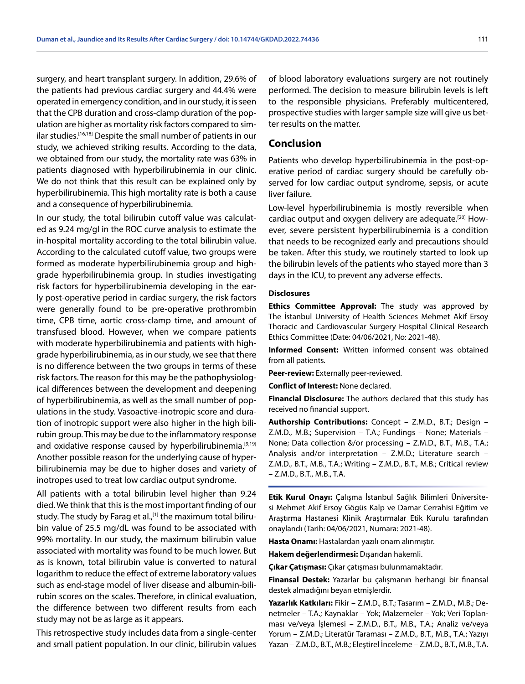surgery, and heart transplant surgery. In addition, 29.6% of the patients had previous cardiac surgery and 44.4% were operated in emergency condition, and in our study, it is seen that the CPB duration and cross-clamp duration of the population are higher as mortality risk factors compared to similar studies.[16,18] Despite the small number of patients in our study, we achieved striking results. According to the data, we obtained from our study, the mortality rate was 63% in patients diagnosed with hyperbilirubinemia in our clinic. We do not think that this result can be explained only by hyperbilirubinemia. This high mortality rate is both a cause and a consequence of hyperbilirubinemia.

In our study, the total bilirubin cutoff value was calculated as 9.24 mg/gl in the ROC curve analysis to estimate the in-hospital mortality according to the total bilirubin value. According to the calculated cutoff value, two groups were formed as moderate hyperbilirubinemia group and highgrade hyperbilirubinemia group. In studies investigating risk factors for hyperbilirubinemia developing in the early post-operative period in cardiac surgery, the risk factors were generally found to be pre-operative prothrombin time, CPB time, aortic cross-clamp time, and amount of transfused blood. However, when we compare patients with moderate hyperbilirubinemia and patients with highgrade hyperbilirubinemia, as in our study, we see that there is no difference between the two groups in terms of these risk factors. The reason for this may be the pathophysiological differences between the development and deepening of hyperbilirubinemia, as well as the small number of populations in the study. Vasoactive-inotropic score and duration of inotropic support were also higher in the high bilirubin group. This may be due to the inflammatory response and oxidative response caused by hyperbilirubinemia.<sup>[9,19]</sup> Another possible reason for the underlying cause of hyperbilirubinemia may be due to higher doses and variety of inotropes used to treat low cardiac output syndrome.

All patients with a total bilirubin level higher than 9.24 died. We think that this is the most important finding of our study. The study by Farag et al.,<sup>[1]</sup> the maximum total bilirubin value of 25.5 mg/dL was found to be associated with 99% mortality. In our study, the maximum bilirubin value associated with mortality was found to be much lower. But as is known, total bilirubin value is converted to natural logarithm to reduce the effect of extreme laboratory values such as end-stage model of liver disease and albumin-bilirubin scores on the scales. Therefore, in clinical evaluation, the difference between two different results from each study may not be as large as it appears.

This retrospective study includes data from a single-center and small patient population. In our clinic, bilirubin values

of blood laboratory evaluations surgery are not routinely performed. The decision to measure bilirubin levels is left to the responsible physicians. Preferably multicentered, prospective studies with larger sample size will give us better results on the matter.

# **Conclusion**

Patients who develop hyperbilirubinemia in the post-operative period of cardiac surgery should be carefully observed for low cardiac output syndrome, sepsis, or acute liver failure.

Low-level hyperbilirubinemia is mostly reversible when cardiac output and oxygen delivery are adequate.[20] However, severe persistent hyperbilirubinemia is a condition that needs to be recognized early and precautions should be taken. After this study, we routinely started to look up the bilirubin levels of the patients who stayed more than 3 days in the ICU, to prevent any adverse effects.

#### **Disclosures**

**Ethics Committee Approval:** The study was approved by The İstanbul University of Health Sciences Mehmet Akif Ersoy Thoracic and Cardiovascular Surgery Hospital Clinical Research Ethics Committee (Date: 04/06/2021, No: 2021-48).

**Informed Consent:** Written informed consent was obtained from all patients.

**Peer-review:** Externally peer-reviewed.

**Conflict of Interest:** None declared.

**Financial Disclosure:** The authors declared that this study has received no financial support.

**Authorship Contributions:** Concept – Z.M.D., B.T.; Design – Z.M.D., M.B.; Supervision – T.A.; Fundings – None; Materials – None; Data collection &/or processing – Z.M.D., B.T., M.B., T.A.; Analysis and/or interpretation – Z.M.D.; Literature search – Z.M.D., B.T., M.B., T.A.; Writing – Z.M.D., B.T., M.B.; Critical review – Z.M.D., B.T., M.B., T.A.

**Etik Kurul Onayı:** Çalışma İstanbul Sağlık Bilimleri Üniversitesi Mehmet Akif Ersoy Gögüs Kalp ve Damar Cerrahisi Eğitim ve Araştırma Hastanesi Klinik Araştırmalar Etik Kurulu tarafından onaylandı (Tarih: 04/06/2021, Numara: 2021-48).

**Hasta Onamı:** Hastalardan yazılı onam alınmıştır.

**Hakem değerlendirmesi:** Dışarıdan hakemli.

**Çıkar Çatışması:** Çıkar çatışması bulunmamaktadır.

**Finansal Destek:** Yazarlar bu çalışmanın herhangi bir finansal destek almadığını beyan etmişlerdir.

**Yazarlık Katkıları:** Fikir – Z.M.D., B.T.; Tasarım – Z.M.D., M.B.; Denetmeler – T.A.; Kaynaklar – Yok; Malzemeler – Yok; Veri Toplanması ve/veya İşlemesi – Z.M.D., B.T., M.B., T.A.; Analiz ve/veya Yorum – Z.M.D.; Literatür Taraması – Z.M.D., B.T., M.B., T.A.; Yazıyı Yazan – Z.M.D., B.T., M.B.; Eleştirel İnceleme – Z.M.D., B.T., M.B., T.A.